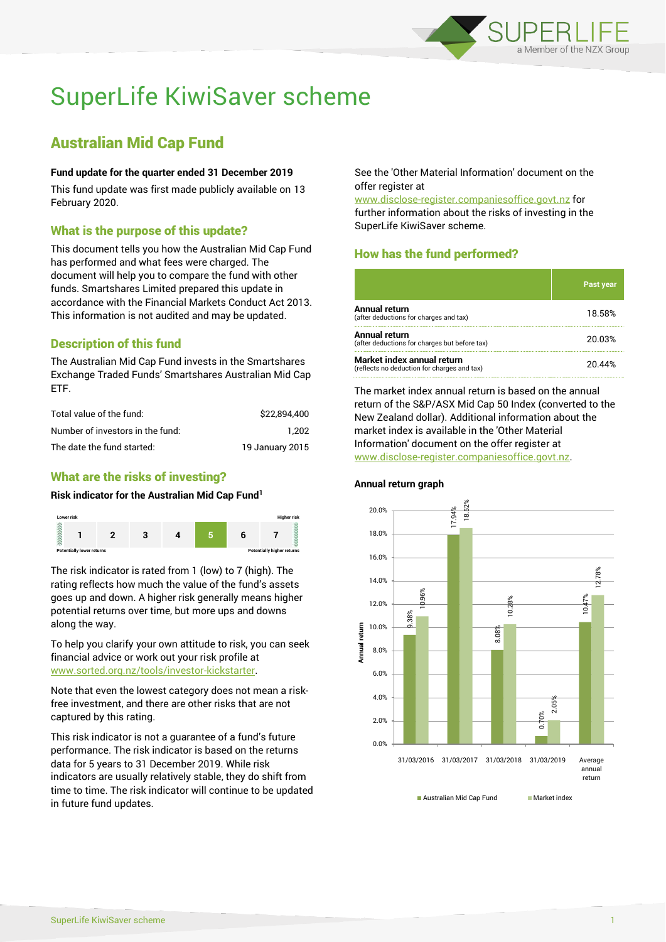

# SuperLife KiwiSaver scheme

# Australian Mid Cap Fund

#### **Fund update for the quarter ended 31 December 2019**

This fund update was first made publicly available on 13 February 2020.

### What is the purpose of this update?

This document tells you how the Australian Mid Cap Fund has performed and what fees were charged. The document will help you to compare the fund with other funds. Smartshares Limited prepared this update in accordance with the Financial Markets Conduct Act 2013. This information is not audited and may be updated.

# Description of this fund

The Australian Mid Cap Fund invests in the Smartshares Exchange Traded Funds' Smartshares Australian Mid Cap ETF.

| Total value of the fund:         | \$22.894.400    |
|----------------------------------|-----------------|
| Number of investors in the fund: | 1.202           |
| The date the fund started:       | 19 January 2015 |

## What are the risks of investing?

#### **Risk indicator for the Australian Mid Cap Fund<sup>1</sup>**



The risk indicator is rated from 1 (low) to 7 (high). The rating reflects how much the value of the fund's assets goes up and down. A higher risk generally means higher potential returns over time, but more ups and downs along the way.

To help you clarify your own attitude to risk, you can seek financial advice or work out your risk profile at [www.sorted.org.nz/tools/investor-kickstarter.](http://www.sorted.org.nz/tools/investor-kickstarter)

Note that even the lowest category does not mean a riskfree investment, and there are other risks that are not captured by this rating.

This risk indicator is not a guarantee of a fund's future performance. The risk indicator is based on the returns data for 5 years to 31 December 2019. While risk indicators are usually relatively stable, they do shift from time to time. The risk indicator will continue to be updated in future fund updates.

See the 'Other Material Information' document on the offer register at

www.disclose-register.companiesoffice.govt.nz for further information about the risks of investing in the SuperLife KiwiSaver scheme.

# How has the fund performed?

**Annual return graph**

|                                                                           | Past year |
|---------------------------------------------------------------------------|-----------|
| Annual return<br>(after deductions for charges and tax)                   | 18.58%    |
| Annual return<br>(after deductions for charges but before tax)            | 20.03%    |
| Market index annual return<br>(reflects no deduction for charges and tax) | 20 44%    |

The market index annual return is based on the annual return of the S&P/ASX Mid Cap 50 Index (converted to the New Zealand dollar). Additional information about the market index is available in the 'Other Material Information' document on the offer register at www.disclose-register.companiesoffice.govt.nz.



Australian Mid Can Fund Market index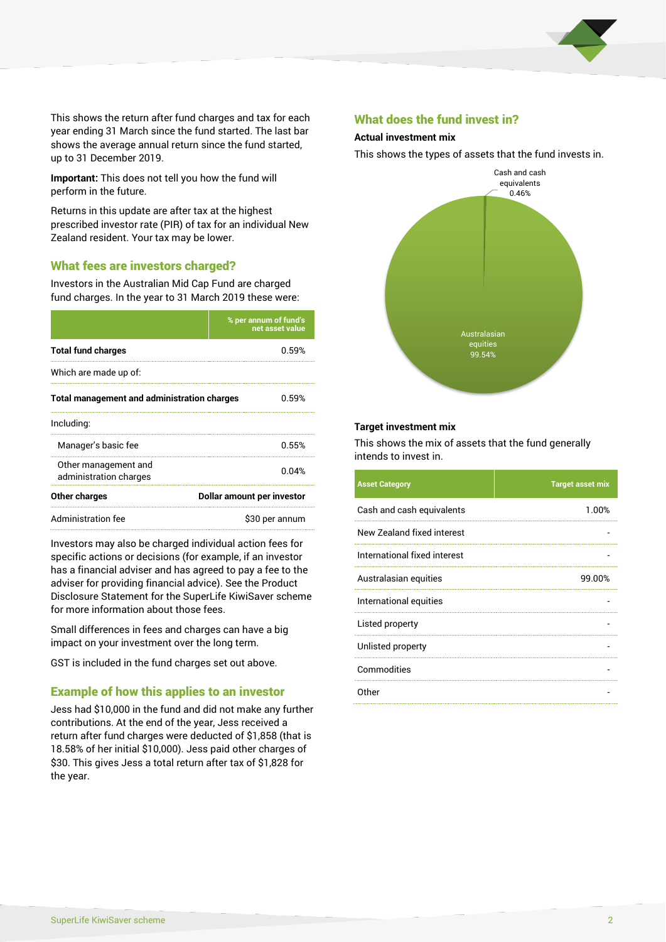

This shows the return after fund charges and tax for each year ending 31 March since the fund started. The last bar shows the average annual return since the fund started, up to 31 December 2019.

**Important:** This does not tell you how the fund will perform in the future.

Returns in this update are after tax at the highest prescribed investor rate (PIR) of tax for an individual New Zealand resident. Your tax may be lower.

#### What fees are investors charged?

Investors in the Australian Mid Cap Fund are charged fund charges. In the year to 31 March 2019 these were:

|                                                    | % per annum of fund's<br>net asset value |  |
|----------------------------------------------------|------------------------------------------|--|
| <b>Total fund charges</b>                          | በ 59%                                    |  |
| Which are made up of:                              |                                          |  |
| <b>Total management and administration charges</b> | 0.59%                                    |  |
| Including:                                         |                                          |  |
| Manager's basic fee                                | 0.55%                                    |  |
| Other management and<br>administration charges     | 0.04%                                    |  |
| Other charges                                      | Dollar amount per investor               |  |
| Administration fee                                 | \$30 per annum                           |  |

Investors may also be charged individual action fees for specific actions or decisions (for example, if an investor has a financial adviser and has agreed to pay a fee to the adviser for providing financial advice). See the Product Disclosure Statement for the SuperLife KiwiSaver scheme for more information about those fees.

Small differences in fees and charges can have a big impact on your investment over the long term.

GST is included in the fund charges set out above.

#### Example of how this applies to an investor

Jess had \$10,000 in the fund and did not make any further contributions. At the end of the year, Jess received a return after fund charges were deducted of \$1,858 (that is 18.58% of her initial \$10,000). Jess paid other charges of \$30. This gives Jess a total return after tax of \$1,828 for the year.

#### What does the fund invest in?

#### **Actual investment mix**

This shows the types of assets that the fund invests in.



#### **Target investment mix**

This shows the mix of assets that the fund generally intends to invest in.

| <b>Asset Category</b>        | <b>Target asset mix</b> |
|------------------------------|-------------------------|
| Cash and cash equivalents    | 1.00%                   |
| New Zealand fixed interest   |                         |
| International fixed interest |                         |
| Australasian equities        | 99.00%                  |
| International equities       |                         |
| Listed property              |                         |
| Unlisted property            |                         |
| Commodities                  |                         |
| Other                        |                         |